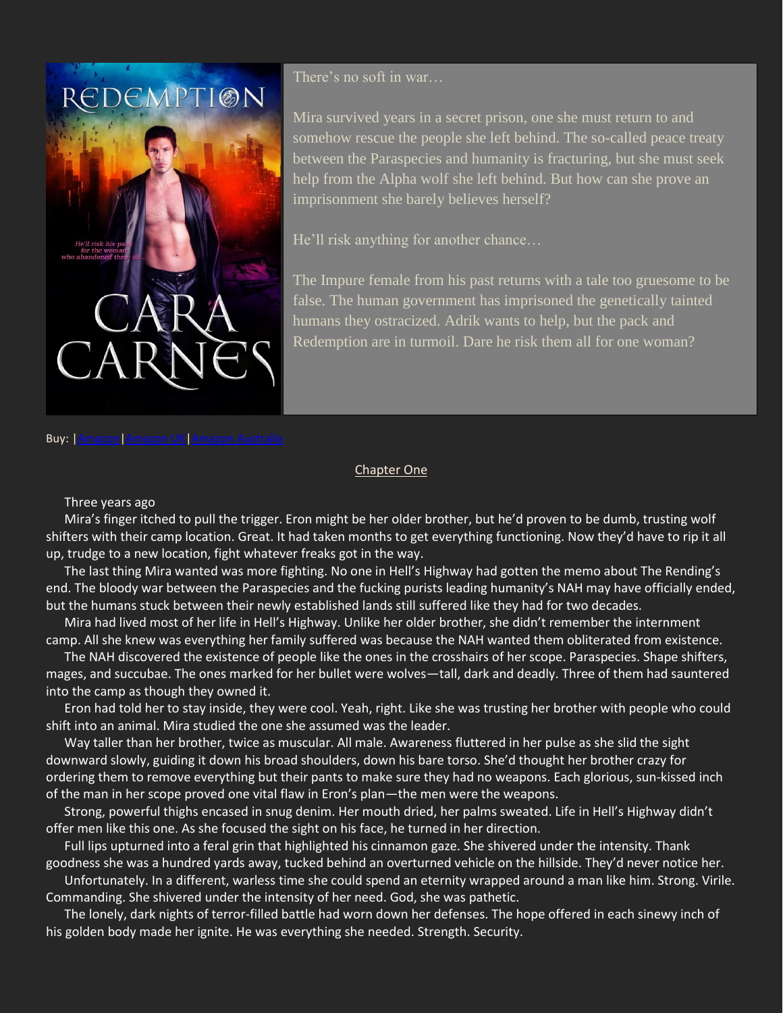

There's no soft in war…

Mira survived years in a secret prison, one she must return to and somehow rescue the people she left behind. The so-called peace treaty between the Paraspecies and humanity is fracturing, but she must seek help from the Alpha wolf she left behind. But how can she prove an imprisonment she barely believes herself?

He'll risk anything for another chance…

The Impure female from his past returns with a tale too gruesome to be false. The human government has imprisoned the genetically tainted humans they ostracized. Adrik wants to help, but the pack and Redemption are in turmoil. Dare he risk them all for one woman?

## Buy: [|Amazon](http://amzn.to/1ZcxXcy)[|Amazon UK|](http://bit.ly/RedemptionAUK)Amazon [Australia](http://bit.ly/RedemptionAAU)

## Chapter One

## Three years ago

Mira's finger itched to pull the trigger. Eron might be her older brother, but he'd proven to be dumb, trusting wolf shifters with their camp location. Great. It had taken months to get everything functioning. Now they'd have to rip it all up, trudge to a new location, fight whatever freaks got in the way.

The last thing Mira wanted was more fighting. No one in Hell's Highway had gotten the memo about The Rending's end. The bloody war between the Paraspecies and the fucking purists leading humanity's NAH may have officially ended, but the humans stuck between their newly established lands still suffered like they had for two decades.

Mira had lived most of her life in Hell's Highway. Unlike her older brother, she didn't remember the internment camp. All she knew was everything her family suffered was because the NAH wanted them obliterated from existence.

The NAH discovered the existence of people like the ones in the crosshairs of her scope. Paraspecies. Shape shifters, mages, and succubae. The ones marked for her bullet were wolves—tall, dark and deadly. Three of them had sauntered into the camp as though they owned it.

Eron had told her to stay inside, they were cool. Yeah, right. Like she was trusting her brother with people who could shift into an animal. Mira studied the one she assumed was the leader.

Way taller than her brother, twice as muscular. All male. Awareness fluttered in her pulse as she slid the sight downward slowly, guiding it down his broad shoulders, down his bare torso. She'd thought her brother crazy for ordering them to remove everything but their pants to make sure they had no weapons. Each glorious, sun-kissed inch of the man in her scope proved one vital flaw in Eron's plan—the men were the weapons.

Strong, powerful thighs encased in snug denim. Her mouth dried, her palms sweated. Life in Hell's Highway didn't offer men like this one. As she focused the sight on his face, he turned in her direction.

Full lips upturned into a feral grin that highlighted his cinnamon gaze. She shivered under the intensity. Thank goodness she was a hundred yards away, tucked behind an overturned vehicle on the hillside. They'd never notice her.

Unfortunately. In a different, warless time she could spend an eternity wrapped around a man like him. Strong. Virile. Commanding. She shivered under the intensity of her need. God, she was pathetic.

The lonely, dark nights of terror-filled battle had worn down her defenses. The hope offered in each sinewy inch of his golden body made her ignite. He was everything she needed. Strength. Security.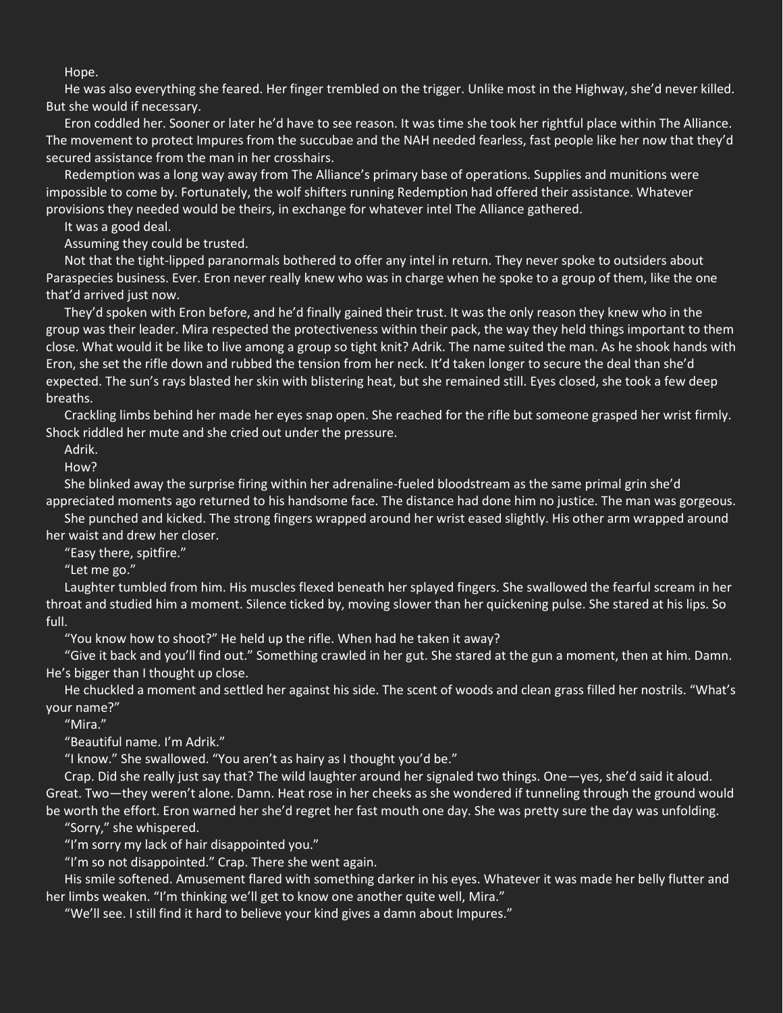Hope.

He was also everything she feared. Her finger trembled on the trigger. Unlike most in the Highway, she'd never killed. But she would if necessary.

Eron coddled her. Sooner or later he'd have to see reason. It was time she took her rightful place within The Alliance. The movement to protect Impures from the succubae and the NAH needed fearless, fast people like her now that they'd secured assistance from the man in her crosshairs.

Redemption was a long way away from The Alliance's primary base of operations. Supplies and munitions were impossible to come by. Fortunately, the wolf shifters running Redemption had offered their assistance. Whatever provisions they needed would be theirs, in exchange for whatever intel The Alliance gathered.

It was a good deal.

Assuming they could be trusted.

Not that the tight-lipped paranormals bothered to offer any intel in return. They never spoke to outsiders about Paraspecies business. Ever. Eron never really knew who was in charge when he spoke to a group of them, like the one that'd arrived just now.

They'd spoken with Eron before, and he'd finally gained their trust. It was the only reason they knew who in the group was their leader. Mira respected the protectiveness within their pack, the way they held things important to them close. What would it be like to live among a group so tight knit? Adrik. The name suited the man. As he shook hands with Eron, she set the rifle down and rubbed the tension from her neck. It'd taken longer to secure the deal than she'd expected. The sun's rays blasted her skin with blistering heat, but she remained still. Eyes closed, she took a few deep breaths.

Crackling limbs behind her made her eyes snap open. She reached for the rifle but someone grasped her wrist firmly. Shock riddled her mute and she cried out under the pressure.

Adrik.

How?

She blinked away the surprise firing within her adrenaline-fueled bloodstream as the same primal grin she'd appreciated moments ago returned to his handsome face. The distance had done him no justice. The man was gorgeous.

She punched and kicked. The strong fingers wrapped around her wrist eased slightly. His other arm wrapped around her waist and drew her closer.

"Easy there, spitfire."

"Let me go."

Laughter tumbled from him. His muscles flexed beneath her splayed fingers. She swallowed the fearful scream in her throat and studied him a moment. Silence ticked by, moving slower than her quickening pulse. She stared at his lips. So full.

"You know how to shoot?" He held up the rifle. When had he taken it away?

"Give it back and you'll find out." Something crawled in her gut. She stared at the gun a moment, then at him. Damn. He's bigger than I thought up close.

He chuckled a moment and settled her against his side. The scent of woods and clean grass filled her nostrils. "What's your name?"

"Mira."

"Beautiful name. I'm Adrik."

"I know." She swallowed. "You aren't as hairy as I thought you'd be."

Crap. Did she really just say that? The wild laughter around her signaled two things. One—yes, she'd said it aloud. Great. Two—they weren't alone. Damn. Heat rose in her cheeks as she wondered if tunneling through the ground would be worth the effort. Eron warned her she'd regret her fast mouth one day. She was pretty sure the day was unfolding.

"Sorry," she whispered.

"I'm sorry my lack of hair disappointed you."

"I'm so not disappointed." Crap. There she went again.

His smile softened. Amusement flared with something darker in his eyes. Whatever it was made her belly flutter and her limbs weaken. "I'm thinking we'll get to know one another quite well, Mira."

"We'll see. I still find it hard to believe your kind gives a damn about Impures."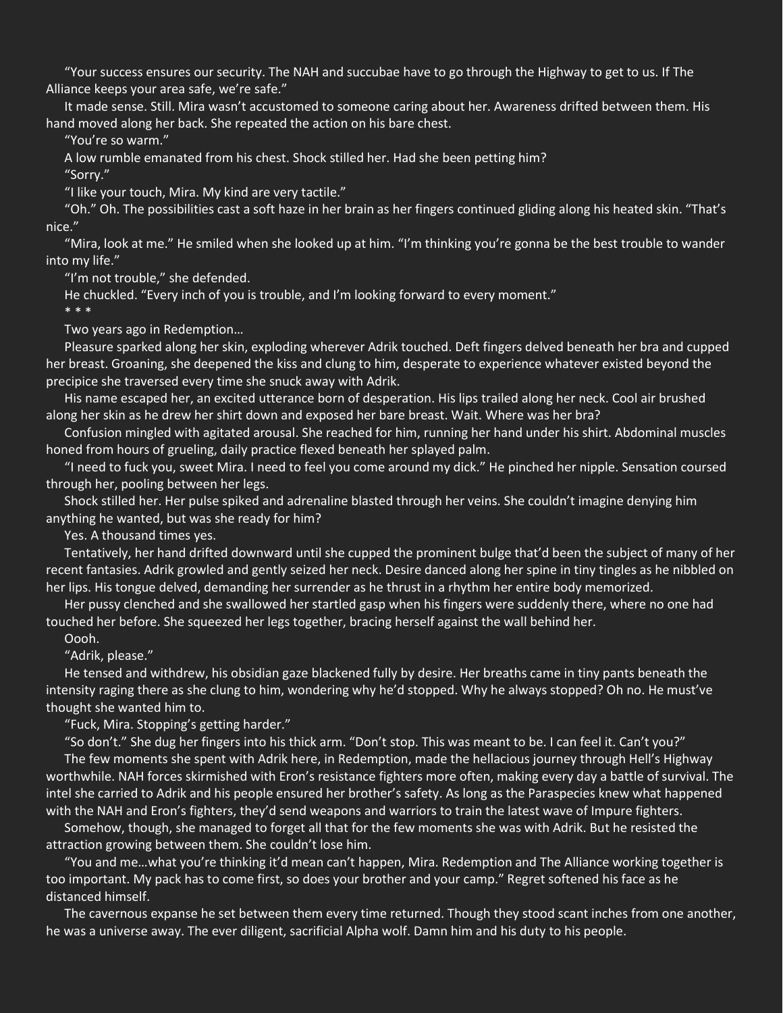"Your success ensures our security. The NAH and succubae have to go through the Highway to get to us. If The Alliance keeps your area safe, we're safe."

It made sense. Still. Mira wasn't accustomed to someone caring about her. Awareness drifted between them. His hand moved along her back. She repeated the action on his bare chest.

"You're so warm."

A low rumble emanated from his chest. Shock stilled her. Had she been petting him?

"Sorry."

"I like your touch, Mira. My kind are very tactile."

"Oh." Oh. The possibilities cast a soft haze in her brain as her fingers continued gliding along his heated skin. "That's nice."

"Mira, look at me." He smiled when she looked up at him. "I'm thinking you're gonna be the best trouble to wander into my life."

"I'm not trouble," she defended.

He chuckled. "Every inch of you is trouble, and I'm looking forward to every moment." \* \* \*

Two years ago in Redemption…

Pleasure sparked along her skin, exploding wherever Adrik touched. Deft fingers delved beneath her bra and cupped her breast. Groaning, she deepened the kiss and clung to him, desperate to experience whatever existed beyond the precipice she traversed every time she snuck away with Adrik.

His name escaped her, an excited utterance born of desperation. His lips trailed along her neck. Cool air brushed along her skin as he drew her shirt down and exposed her bare breast. Wait. Where was her bra?

Confusion mingled with agitated arousal. She reached for him, running her hand under his shirt. Abdominal muscles honed from hours of grueling, daily practice flexed beneath her splayed palm.

"I need to fuck you, sweet Mira. I need to feel you come around my dick." He pinched her nipple. Sensation coursed through her, pooling between her legs.

Shock stilled her. Her pulse spiked and adrenaline blasted through her veins. She couldn't imagine denying him anything he wanted, but was she ready for him?

Yes. A thousand times yes.

Tentatively, her hand drifted downward until she cupped the prominent bulge that'd been the subject of many of her recent fantasies. Adrik growled and gently seized her neck. Desire danced along her spine in tiny tingles as he nibbled on her lips. His tongue delved, demanding her surrender as he thrust in a rhythm her entire body memorized.

Her pussy clenched and she swallowed her startled gasp when his fingers were suddenly there, where no one had touched her before. She squeezed her legs together, bracing herself against the wall behind her.

Oooh.

"Adrik, please."

He tensed and withdrew, his obsidian gaze blackened fully by desire. Her breaths came in tiny pants beneath the intensity raging there as she clung to him, wondering why he'd stopped. Why he always stopped? Oh no. He must've thought she wanted him to.

"Fuck, Mira. Stopping's getting harder."

"So don't." She dug her fingers into his thick arm. "Don't stop. This was meant to be. I can feel it. Can't you?" The few moments she spent with Adrik here, in Redemption, made the hellacious journey through Hell's Highway worthwhile. NAH forces skirmished with Eron's resistance fighters more often, making every day a battle of survival. The intel she carried to Adrik and his people ensured her brother's safety. As long as the Paraspecies knew what happened with the NAH and Eron's fighters, they'd send weapons and warriors to train the latest wave of Impure fighters.

Somehow, though, she managed to forget all that for the few moments she was with Adrik. But he resisted the attraction growing between them. She couldn't lose him.

"You and me…what you're thinking it'd mean can't happen, Mira. Redemption and The Alliance working together is too important. My pack has to come first, so does your brother and your camp." Regret softened his face as he distanced himself.

The cavernous expanse he set between them every time returned. Though they stood scant inches from one another, he was a universe away. The ever diligent, sacrificial Alpha wolf. Damn him and his duty to his people.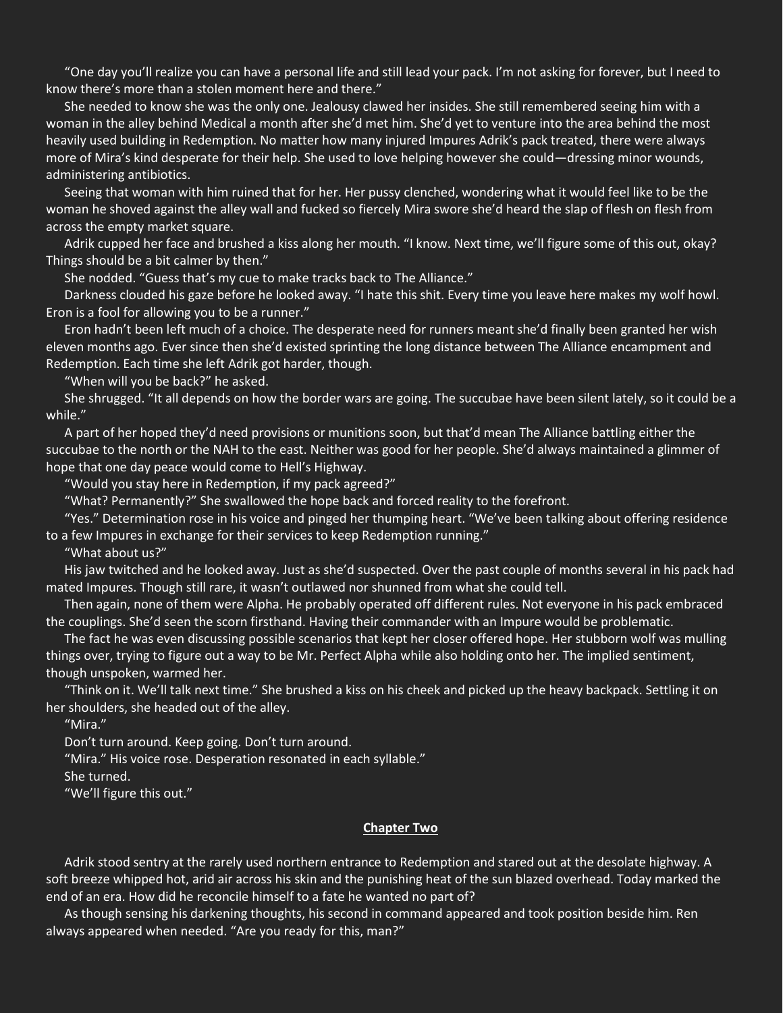"One day you'll realize you can have a personal life and still lead your pack. I'm not asking for forever, but I need to know there's more than a stolen moment here and there."

She needed to know she was the only one. Jealousy clawed her insides. She still remembered seeing him with a woman in the alley behind Medical a month after she'd met him. She'd yet to venture into the area behind the most heavily used building in Redemption. No matter how many injured Impures Adrik's pack treated, there were always more of Mira's kind desperate for their help. She used to love helping however she could—dressing minor wounds, administering antibiotics.

Seeing that woman with him ruined that for her. Her pussy clenched, wondering what it would feel like to be the woman he shoved against the alley wall and fucked so fiercely Mira swore she'd heard the slap of flesh on flesh from across the empty market square.

Adrik cupped her face and brushed a kiss along her mouth. "I know. Next time, we'll figure some of this out, okay? Things should be a bit calmer by then."

She nodded. "Guess that's my cue to make tracks back to The Alliance."

Darkness clouded his gaze before he looked away. "I hate this shit. Every time you leave here makes my wolf howl. Eron is a fool for allowing you to be a runner."

Eron hadn't been left much of a choice. The desperate need for runners meant she'd finally been granted her wish eleven months ago. Ever since then she'd existed sprinting the long distance between The Alliance encampment and Redemption. Each time she left Adrik got harder, though.

"When will you be back?" he asked.

She shrugged. "It all depends on how the border wars are going. The succubae have been silent lately, so it could be a while."

A part of her hoped they'd need provisions or munitions soon, but that'd mean The Alliance battling either the succubae to the north or the NAH to the east. Neither was good for her people. She'd always maintained a glimmer of hope that one day peace would come to Hell's Highway.

"Would you stay here in Redemption, if my pack agreed?"

"What? Permanently?" She swallowed the hope back and forced reality to the forefront.

"Yes." Determination rose in his voice and pinged her thumping heart. "We've been talking about offering residence to a few Impures in exchange for their services to keep Redemption running."

"What about us?"

His jaw twitched and he looked away. Just as she'd suspected. Over the past couple of months several in his pack had mated Impures. Though still rare, it wasn't outlawed nor shunned from what she could tell.

Then again, none of them were Alpha. He probably operated off different rules. Not everyone in his pack embraced the couplings. She'd seen the scorn firsthand. Having their commander with an Impure would be problematic.

The fact he was even discussing possible scenarios that kept her closer offered hope. Her stubborn wolf was mulling things over, trying to figure out a way to be Mr. Perfect Alpha while also holding onto her. The implied sentiment, though unspoken, warmed her.

"Think on it. We'll talk next time." She brushed a kiss on his cheek and picked up the heavy backpack. Settling it on her shoulders, she headed out of the alley.

"Mira."

Don't turn around. Keep going. Don't turn around.

"Mira." His voice rose. Desperation resonated in each syllable."

She turned.

"We'll figure this out."

## **Chapter Two**

Adrik stood sentry at the rarely used northern entrance to Redemption and stared out at the desolate highway. A soft breeze whipped hot, arid air across his skin and the punishing heat of the sun blazed overhead. Today marked the end of an era. How did he reconcile himself to a fate he wanted no part of?

As though sensing his darkening thoughts, his second in command appeared and took position beside him. Ren always appeared when needed. "Are you ready for this, man?"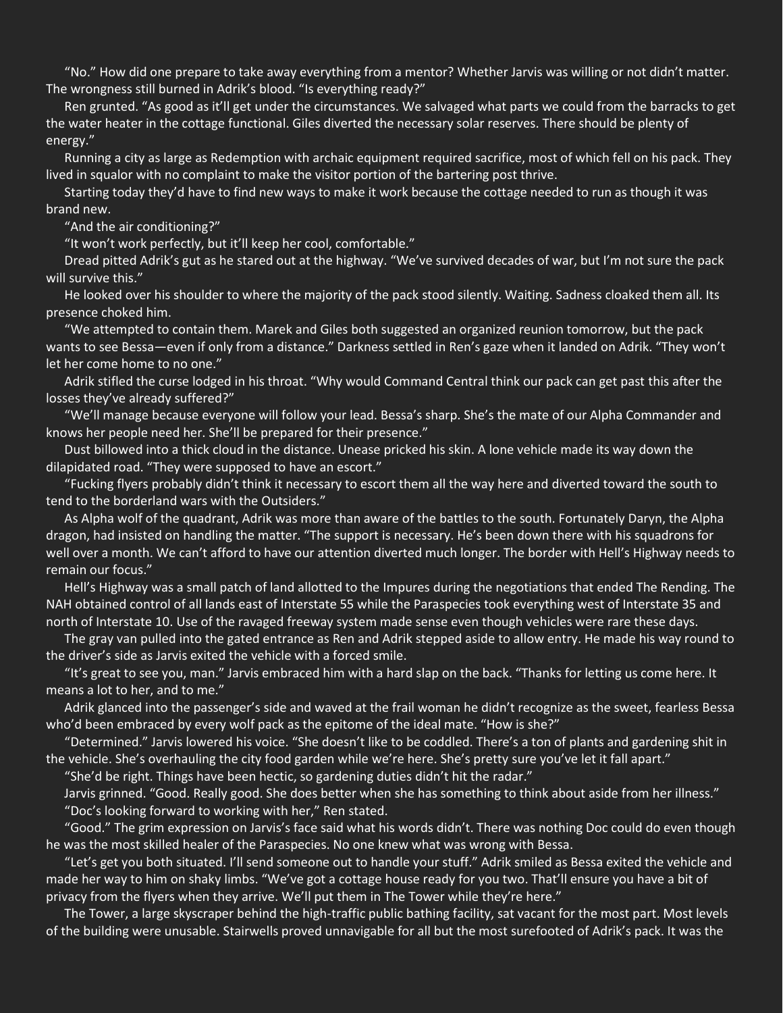"No." How did one prepare to take away everything from a mentor? Whether Jarvis was willing or not didn't matter. The wrongness still burned in Adrik's blood. "Is everything ready?"

Ren grunted. "As good as it'll get under the circumstances. We salvaged what parts we could from the barracks to get the water heater in the cottage functional. Giles diverted the necessary solar reserves. There should be plenty of energy."

Running a city as large as Redemption with archaic equipment required sacrifice, most of which fell on his pack. They lived in squalor with no complaint to make the visitor portion of the bartering post thrive.

Starting today they'd have to find new ways to make it work because the cottage needed to run as though it was brand new.

"And the air conditioning?"

"It won't work perfectly, but it'll keep her cool, comfortable."

Dread pitted Adrik's gut as he stared out at the highway. "We've survived decades of war, but I'm not sure the pack will survive this."

He looked over his shoulder to where the majority of the pack stood silently. Waiting. Sadness cloaked them all. Its presence choked him.

"We attempted to contain them. Marek and Giles both suggested an organized reunion tomorrow, but the pack wants to see Bessa—even if only from a distance." Darkness settled in Ren's gaze when it landed on Adrik. "They won't let her come home to no one."

Adrik stifled the curse lodged in his throat. "Why would Command Central think our pack can get past this after the losses they've already suffered?"

"We'll manage because everyone will follow your lead. Bessa's sharp. She's the mate of our Alpha Commander and knows her people need her. She'll be prepared for their presence."

Dust billowed into a thick cloud in the distance. Unease pricked his skin. A lone vehicle made its way down the dilapidated road. "They were supposed to have an escort."

"Fucking flyers probably didn't think it necessary to escort them all the way here and diverted toward the south to tend to the borderland wars with the Outsiders."

As Alpha wolf of the quadrant, Adrik was more than aware of the battles to the south. Fortunately Daryn, the Alpha dragon, had insisted on handling the matter. "The support is necessary. He's been down there with his squadrons for well over a month. We can't afford to have our attention diverted much longer. The border with Hell's Highway needs to remain our focus."

Hell's Highway was a small patch of land allotted to the Impures during the negotiations that ended The Rending. The NAH obtained control of all lands east of Interstate 55 while the Paraspecies took everything west of Interstate 35 and north of Interstate 10. Use of the ravaged freeway system made sense even though vehicles were rare these days.

The gray van pulled into the gated entrance as Ren and Adrik stepped aside to allow entry. He made his way round to the driver's side as Jarvis exited the vehicle with a forced smile.

"It's great to see you, man." Jarvis embraced him with a hard slap on the back. "Thanks for letting us come here. It means a lot to her, and to me."

Adrik glanced into the passenger's side and waved at the frail woman he didn't recognize as the sweet, fearless Bessa who'd been embraced by every wolf pack as the epitome of the ideal mate. "How is she?"

"Determined." Jarvis lowered his voice. "She doesn't like to be coddled. There's a ton of plants and gardening shit in the vehicle. She's overhauling the city food garden while we're here. She's pretty sure you've let it fall apart."

"She'd be right. Things have been hectic, so gardening duties didn't hit the radar."

Jarvis grinned. "Good. Really good. She does better when she has something to think about aside from her illness." "Doc's looking forward to working with her," Ren stated.

"Good." The grim expression on Jarvis's face said what his words didn't. There was nothing Doc could do even though he was the most skilled healer of the Paraspecies. No one knew what was wrong with Bessa.

"Let's get you both situated. I'll send someone out to handle your stuff." Adrik smiled as Bessa exited the vehicle and made her way to him on shaky limbs. "We've got a cottage house ready for you two. That'll ensure you have a bit of privacy from the flyers when they arrive. We'll put them in The Tower while they're here."

The Tower, a large skyscraper behind the high-traffic public bathing facility, sat vacant for the most part. Most levels of the building were unusable. Stairwells proved unnavigable for all but the most surefooted of Adrik's pack. It was the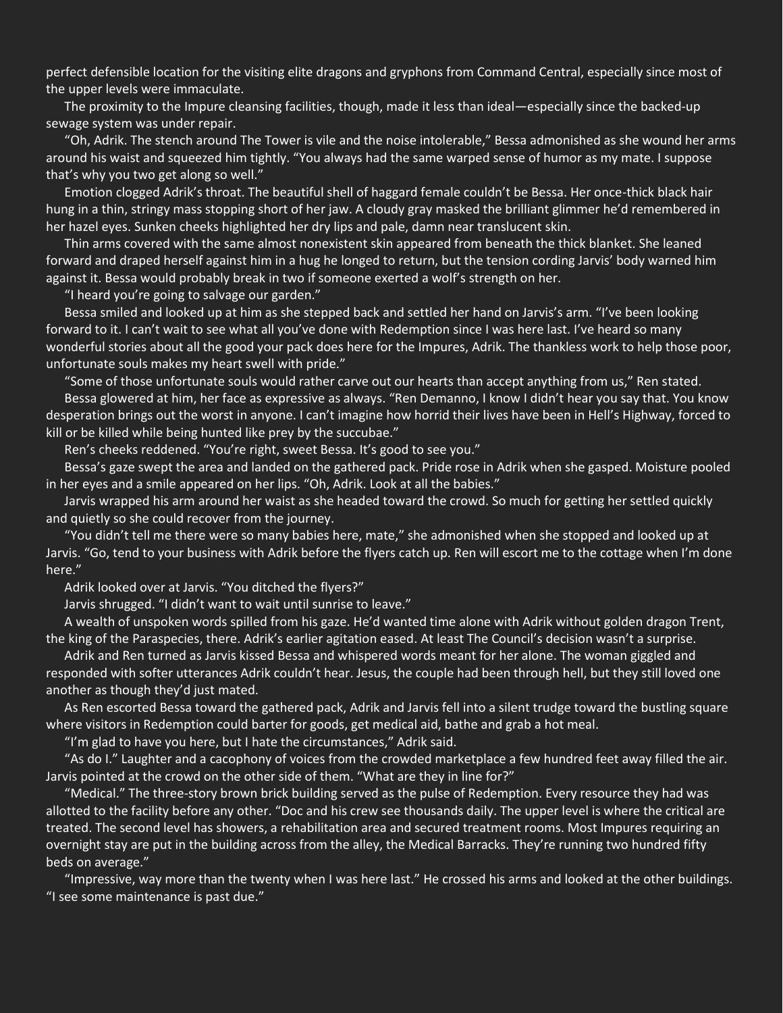perfect defensible location for the visiting elite dragons and gryphons from Command Central, especially since most of the upper levels were immaculate.

The proximity to the Impure cleansing facilities, though, made it less than ideal—especially since the backed-up sewage system was under repair.

"Oh, Adrik. The stench around The Tower is vile and the noise intolerable," Bessa admonished as she wound her arms around his waist and squeezed him tightly. "You always had the same warped sense of humor as my mate. I suppose that's why you two get along so well."

Emotion clogged Adrik's throat. The beautiful shell of haggard female couldn't be Bessa. Her once-thick black hair hung in a thin, stringy mass stopping short of her jaw. A cloudy gray masked the brilliant glimmer he'd remembered in her hazel eyes. Sunken cheeks highlighted her dry lips and pale, damn near translucent skin.

Thin arms covered with the same almost nonexistent skin appeared from beneath the thick blanket. She leaned forward and draped herself against him in a hug he longed to return, but the tension cording Jarvis' body warned him against it. Bessa would probably break in two if someone exerted a wolf's strength on her.

"I heard you're going to salvage our garden."

Bessa smiled and looked up at him as she stepped back and settled her hand on Jarvis's arm. "I've been looking forward to it. I can't wait to see what all you've done with Redemption since I was here last. I've heard so many wonderful stories about all the good your pack does here for the Impures, Adrik. The thankless work to help those poor, unfortunate souls makes my heart swell with pride."

"Some of those unfortunate souls would rather carve out our hearts than accept anything from us," Ren stated. Bessa glowered at him, her face as expressive as always. "Ren Demanno, I know I didn't hear you say that. You know desperation brings out the worst in anyone. I can't imagine how horrid their lives have been in Hell's Highway, forced to kill or be killed while being hunted like prey by the succubae."

Ren's cheeks reddened. "You're right, sweet Bessa. It's good to see you."

Bessa's gaze swept the area and landed on the gathered pack. Pride rose in Adrik when she gasped. Moisture pooled in her eyes and a smile appeared on her lips. "Oh, Adrik. Look at all the babies."

Jarvis wrapped his arm around her waist as she headed toward the crowd. So much for getting her settled quickly and quietly so she could recover from the journey.

"You didn't tell me there were so many babies here, mate," she admonished when she stopped and looked up at Jarvis. "Go, tend to your business with Adrik before the flyers catch up. Ren will escort me to the cottage when I'm done here."

Adrik looked over at Jarvis. "You ditched the flyers?"

Jarvis shrugged. "I didn't want to wait until sunrise to leave."

A wealth of unspoken words spilled from his gaze. He'd wanted time alone with Adrik without golden dragon Trent, the king of the Paraspecies, there. Adrik's earlier agitation eased. At least The Council's decision wasn't a surprise.

Adrik and Ren turned as Jarvis kissed Bessa and whispered words meant for her alone. The woman giggled and responded with softer utterances Adrik couldn't hear. Jesus, the couple had been through hell, but they still loved one another as though they'd just mated.

As Ren escorted Bessa toward the gathered pack, Adrik and Jarvis fell into a silent trudge toward the bustling square where visitors in Redemption could barter for goods, get medical aid, bathe and grab a hot meal.

"I'm glad to have you here, but I hate the circumstances," Adrik said.

"As do I." Laughter and a cacophony of voices from the crowded marketplace a few hundred feet away filled the air. Jarvis pointed at the crowd on the other side of them. "What are they in line for?"

"Medical." The three-story brown brick building served as the pulse of Redemption. Every resource they had was allotted to the facility before any other. "Doc and his crew see thousands daily. The upper level is where the critical are treated. The second level has showers, a rehabilitation area and secured treatment rooms. Most Impures requiring an overnight stay are put in the building across from the alley, the Medical Barracks. They're running two hundred fifty beds on average."

"Impressive, way more than the twenty when I was here last." He crossed his arms and looked at the other buildings. "I see some maintenance is past due."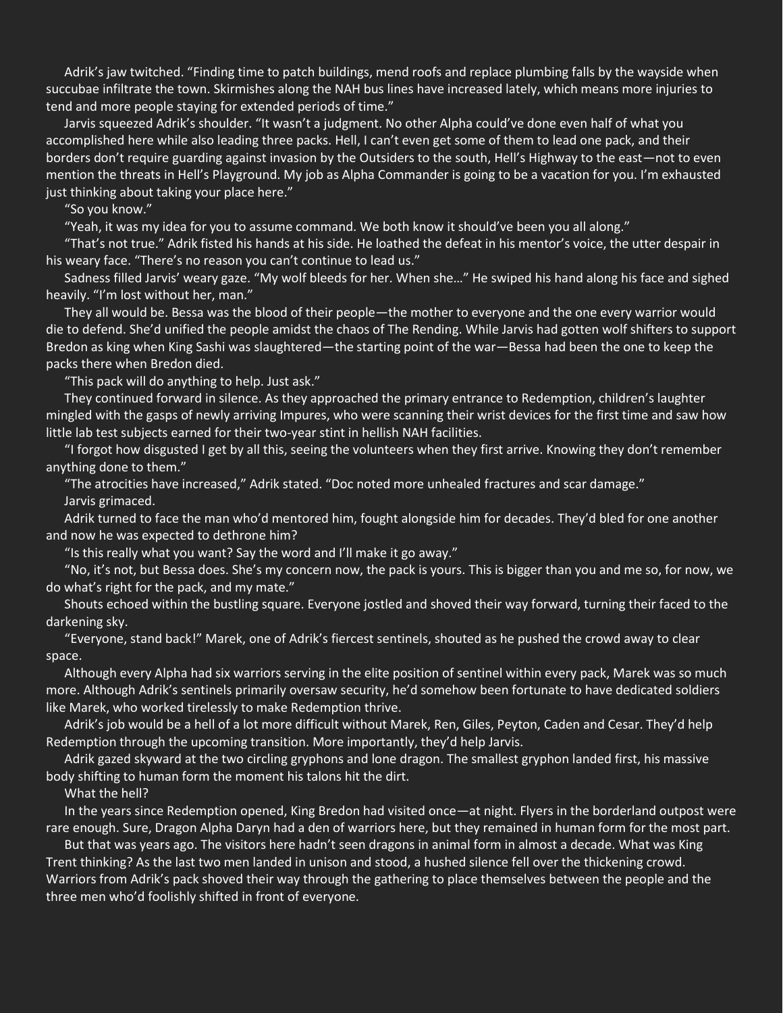Adrik's jaw twitched. "Finding time to patch buildings, mend roofs and replace plumbing falls by the wayside when succubae infiltrate the town. Skirmishes along the NAH bus lines have increased lately, which means more injuries to tend and more people staying for extended periods of time."

Jarvis squeezed Adrik's shoulder. "It wasn't a judgment. No other Alpha could've done even half of what you accomplished here while also leading three packs. Hell, I can't even get some of them to lead one pack, and their borders don't require guarding against invasion by the Outsiders to the south, Hell's Highway to the east—not to even mention the threats in Hell's Playground. My job as Alpha Commander is going to be a vacation for you. I'm exhausted just thinking about taking your place here."

"So you know."

"Yeah, it was my idea for you to assume command. We both know it should've been you all along."

"That's not true." Adrik fisted his hands at his side. He loathed the defeat in his mentor's voice, the utter despair in his weary face. "There's no reason you can't continue to lead us."

Sadness filled Jarvis' weary gaze. "My wolf bleeds for her. When she…" He swiped his hand along his face and sighed heavily. "I'm lost without her, man."

They all would be. Bessa was the blood of their people—the mother to everyone and the one every warrior would die to defend. She'd unified the people amidst the chaos of The Rending. While Jarvis had gotten wolf shifters to support Bredon as king when King Sashi was slaughtered—the starting point of the war—Bessa had been the one to keep the packs there when Bredon died.

"This pack will do anything to help. Just ask."

They continued forward in silence. As they approached the primary entrance to Redemption, children's laughter mingled with the gasps of newly arriving Impures, who were scanning their wrist devices for the first time and saw how little lab test subjects earned for their two-year stint in hellish NAH facilities.

"I forgot how disgusted I get by all this, seeing the volunteers when they first arrive. Knowing they don't remember anything done to them."

"The atrocities have increased," Adrik stated. "Doc noted more unhealed fractures and scar damage." Jarvis grimaced.

Adrik turned to face the man who'd mentored him, fought alongside him for decades. They'd bled for one another and now he was expected to dethrone him?

"Is this really what you want? Say the word and I'll make it go away."

"No, it's not, but Bessa does. She's my concern now, the pack is yours. This is bigger than you and me so, for now, we do what's right for the pack, and my mate."

Shouts echoed within the bustling square. Everyone jostled and shoved their way forward, turning their faced to the darkening sky.

"Everyone, stand back!" Marek, one of Adrik's fiercest sentinels, shouted as he pushed the crowd away to clear space.

Although every Alpha had six warriors serving in the elite position of sentinel within every pack, Marek was so much more. Although Adrik's sentinels primarily oversaw security, he'd somehow been fortunate to have dedicated soldiers like Marek, who worked tirelessly to make Redemption thrive.

Adrik's job would be a hell of a lot more difficult without Marek, Ren, Giles, Peyton, Caden and Cesar. They'd help Redemption through the upcoming transition. More importantly, they'd help Jarvis.

Adrik gazed skyward at the two circling gryphons and lone dragon. The smallest gryphon landed first, his massive body shifting to human form the moment his talons hit the dirt.

What the hell?

In the years since Redemption opened, King Bredon had visited once—at night. Flyers in the borderland outpost were rare enough. Sure, Dragon Alpha Daryn had a den of warriors here, but they remained in human form for the most part.

But that was years ago. The visitors here hadn't seen dragons in animal form in almost a decade. What was King Trent thinking? As the last two men landed in unison and stood, a hushed silence fell over the thickening crowd. Warriors from Adrik's pack shoved their way through the gathering to place themselves between the people and the three men who'd foolishly shifted in front of everyone.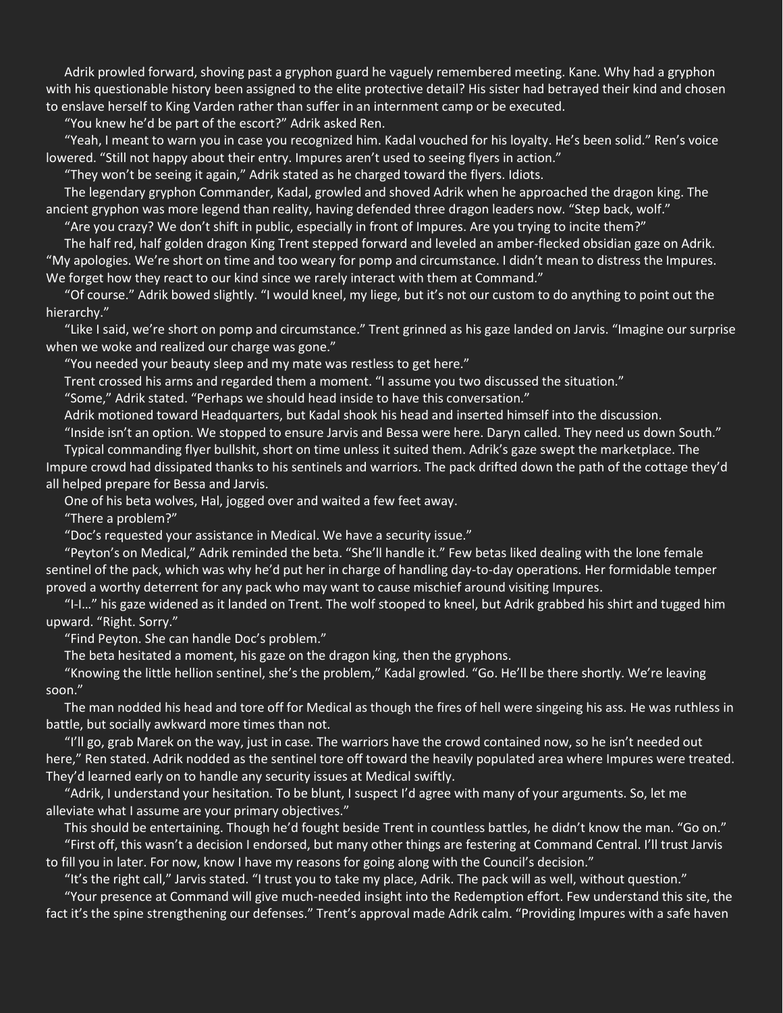Adrik prowled forward, shoving past a gryphon guard he vaguely remembered meeting. Kane. Why had a gryphon with his questionable history been assigned to the elite protective detail? His sister had betrayed their kind and chosen to enslave herself to King Varden rather than suffer in an internment camp or be executed.

"You knew he'd be part of the escort?" Adrik asked Ren.

"Yeah, I meant to warn you in case you recognized him. Kadal vouched for his loyalty. He's been solid." Ren's voice lowered. "Still not happy about their entry. Impures aren't used to seeing flyers in action."

"They won't be seeing it again," Adrik stated as he charged toward the flyers. Idiots.

The legendary gryphon Commander, Kadal, growled and shoved Adrik when he approached the dragon king. The ancient gryphon was more legend than reality, having defended three dragon leaders now. "Step back, wolf."

"Are you crazy? We don't shift in public, especially in front of Impures. Are you trying to incite them?"

The half red, half golden dragon King Trent stepped forward and leveled an amber-flecked obsidian gaze on Adrik. "My apologies. We're short on time and too weary for pomp and circumstance. I didn't mean to distress the Impures. We forget how they react to our kind since we rarely interact with them at Command."

"Of course." Adrik bowed slightly. "I would kneel, my liege, but it's not our custom to do anything to point out the hierarchy."

"Like I said, we're short on pomp and circumstance." Trent grinned as his gaze landed on Jarvis. "Imagine our surprise when we woke and realized our charge was gone."

"You needed your beauty sleep and my mate was restless to get here."

Trent crossed his arms and regarded them a moment. "I assume you two discussed the situation."

"Some," Adrik stated. "Perhaps we should head inside to have this conversation."

Adrik motioned toward Headquarters, but Kadal shook his head and inserted himself into the discussion.

"Inside isn't an option. We stopped to ensure Jarvis and Bessa were here. Daryn called. They need us down South."

Typical commanding flyer bullshit, short on time unless it suited them. Adrik's gaze swept the marketplace. The Impure crowd had dissipated thanks to his sentinels and warriors. The pack drifted down the path of the cottage they'd all helped prepare for Bessa and Jarvis.

One of his beta wolves, Hal, jogged over and waited a few feet away.

"There a problem?"

"Doc's requested your assistance in Medical. We have a security issue."

"Peyton's on Medical," Adrik reminded the beta. "She'll handle it." Few betas liked dealing with the lone female sentinel of the pack, which was why he'd put her in charge of handling day-to-day operations. Her formidable temper proved a worthy deterrent for any pack who may want to cause mischief around visiting Impures.

"I-I…" his gaze widened as it landed on Trent. The wolf stooped to kneel, but Adrik grabbed his shirt and tugged him upward. "Right. Sorry."

"Find Peyton. She can handle Doc's problem."

The beta hesitated a moment, his gaze on the dragon king, then the gryphons.

"Knowing the little hellion sentinel, she's the problem," Kadal growled. "Go. He'll be there shortly. We're leaving soon."

The man nodded his head and tore off for Medical as though the fires of hell were singeing his ass. He was ruthless in battle, but socially awkward more times than not.

"I'll go, grab Marek on the way, just in case. The warriors have the crowd contained now, so he isn't needed out here," Ren stated. Adrik nodded as the sentinel tore off toward the heavily populated area where Impures were treated. They'd learned early on to handle any security issues at Medical swiftly.

"Adrik, I understand your hesitation. To be blunt, I suspect I'd agree with many of your arguments. So, let me alleviate what I assume are your primary objectives."

This should be entertaining. Though he'd fought beside Trent in countless battles, he didn't know the man. "Go on." "First off, this wasn't a decision I endorsed, but many other things are festering at Command Central. I'll trust Jarvis

to fill you in later. For now, know I have my reasons for going along with the Council's decision."

"It's the right call," Jarvis stated. "I trust you to take my place, Adrik. The pack will as well, without question."

"Your presence at Command will give much-needed insight into the Redemption effort. Few understand this site, the fact it's the spine strengthening our defenses." Trent's approval made Adrik calm. "Providing Impures with a safe haven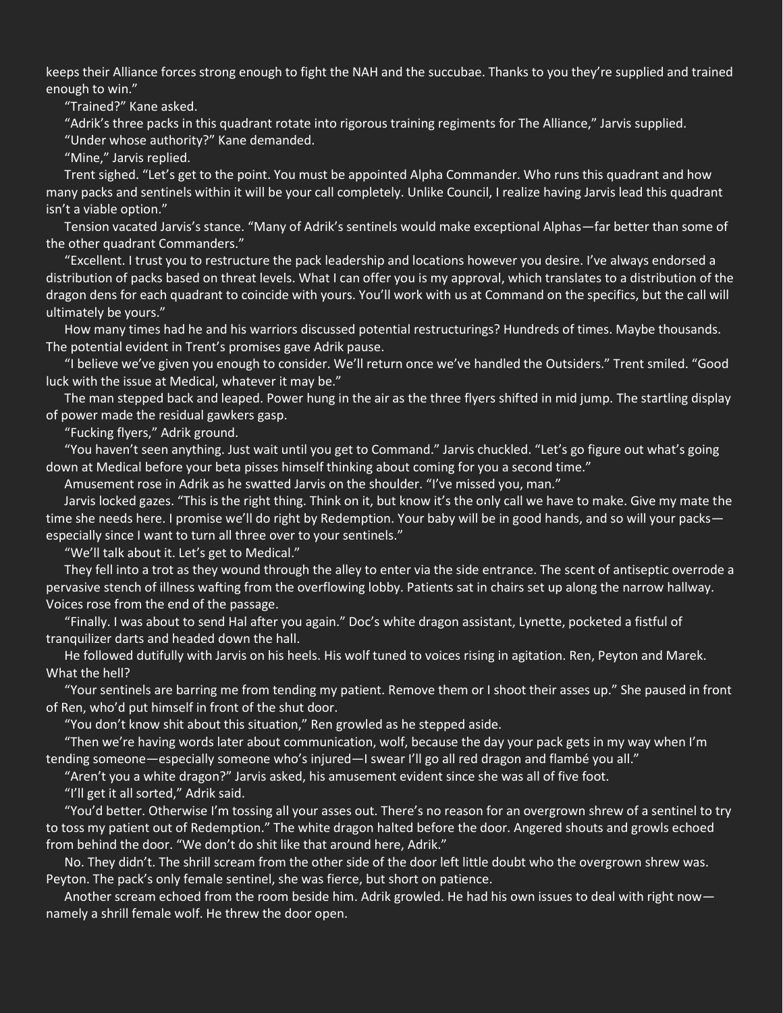keeps their Alliance forces strong enough to fight the NAH and the succubae. Thanks to you they're supplied and trained enough to win."

"Trained?" Kane asked.

"Adrik's three packs in this quadrant rotate into rigorous training regiments for The Alliance," Jarvis supplied.

"Under whose authority?" Kane demanded.

"Mine," Jarvis replied.

Trent sighed. "Let's get to the point. You must be appointed Alpha Commander. Who runs this quadrant and how many packs and sentinels within it will be your call completely. Unlike Council, I realize having Jarvis lead this quadrant isn't a viable option."

Tension vacated Jarvis's stance. "Many of Adrik's sentinels would make exceptional Alphas—far better than some of the other quadrant Commanders."

"Excellent. I trust you to restructure the pack leadership and locations however you desire. I've always endorsed a distribution of packs based on threat levels. What I can offer you is my approval, which translates to a distribution of the dragon dens for each quadrant to coincide with yours. You'll work with us at Command on the specifics, but the call will ultimately be yours."

How many times had he and his warriors discussed potential restructurings? Hundreds of times. Maybe thousands. The potential evident in Trent's promises gave Adrik pause.

"I believe we've given you enough to consider. We'll return once we've handled the Outsiders." Trent smiled. "Good luck with the issue at Medical, whatever it may be."

The man stepped back and leaped. Power hung in the air as the three flyers shifted in mid jump. The startling display of power made the residual gawkers gasp.

"Fucking flyers," Adrik ground.

"You haven't seen anything. Just wait until you get to Command." Jarvis chuckled. "Let's go figure out what's going down at Medical before your beta pisses himself thinking about coming for you a second time."

Amusement rose in Adrik as he swatted Jarvis on the shoulder. "I've missed you, man."

Jarvis locked gazes. "This is the right thing. Think on it, but know it's the only call we have to make. Give my mate the time she needs here. I promise we'll do right by Redemption. Your baby will be in good hands, and so will your packs especially since I want to turn all three over to your sentinels."

"We'll talk about it. Let's get to Medical."

They fell into a trot as they wound through the alley to enter via the side entrance. The scent of antiseptic overrode a pervasive stench of illness wafting from the overflowing lobby. Patients sat in chairs set up along the narrow hallway. Voices rose from the end of the passage.

"Finally. I was about to send Hal after you again." Doc's white dragon assistant, Lynette, pocketed a fistful of tranquilizer darts and headed down the hall.

He followed dutifully with Jarvis on his heels. His wolf tuned to voices rising in agitation. Ren, Peyton and Marek. What the hell?

"Your sentinels are barring me from tending my patient. Remove them or I shoot their asses up." She paused in front of Ren, who'd put himself in front of the shut door.

"You don't know shit about this situation," Ren growled as he stepped aside.

"Then we're having words later about communication, wolf, because the day your pack gets in my way when I'm tending someone—especially someone who's injured—I swear I'll go all red dragon and flambé you all."

"Aren't you a white dragon?" Jarvis asked, his amusement evident since she was all of five foot.

"I'll get it all sorted," Adrik said.

"You'd better. Otherwise I'm tossing all your asses out. There's no reason for an overgrown shrew of a sentinel to try to toss my patient out of Redemption." The white dragon halted before the door. Angered shouts and growls echoed from behind the door. "We don't do shit like that around here, Adrik."

No. They didn't. The shrill scream from the other side of the door left little doubt who the overgrown shrew was. Peyton. The pack's only female sentinel, she was fierce, but short on patience.

Another scream echoed from the room beside him. Adrik growled. He had his own issues to deal with right now namely a shrill female wolf. He threw the door open.